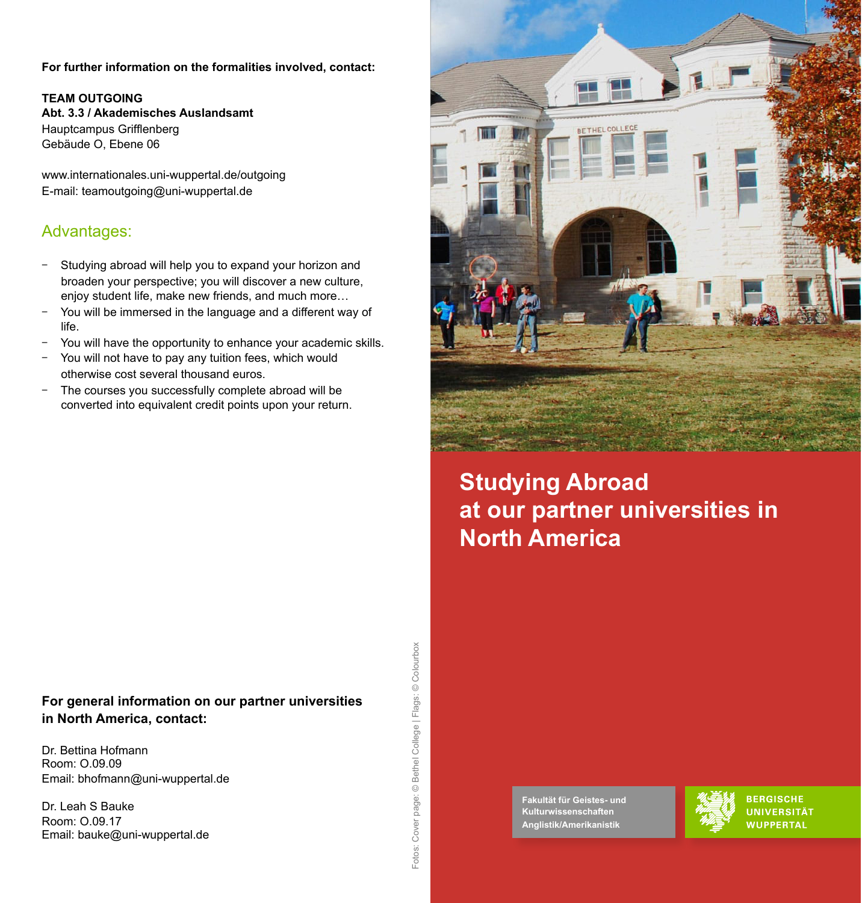#### **For further information on the formalities involved, contact:**

**TEAM OUTGOING Abt. 3.3 / Akademisches Auslandsamt** Hauptcampus Grifflenberg Gebäude O, Ebene 06

www.internationales.uni-wuppertal.de/outgoing E-mail: teamoutgoing@uni-wuppertal.de

### Advantages:

- Studying abroad will help you to expand your horizon and broaden your perspective; you will discover a new culture, enjoy student life, make new friends, and much more…
- You will be immersed in the language and a different way of life.
- You will have the opportunity to enhance your academic skills.
- You will not have to pay any tuition fees, which would otherwise cost several thousand euros.
- The courses you successfully complete abroad will be converted into equivalent credit points upon your return.

### **For general information on our partner universities in North America, contact:**

Dr. Bettina Hofmann Room: O.09.09 Email: bhofmann@uni-wuppertal.de

Dr. Leah S Bauke Room: O.09.17 Email: bauke@uni-wuppertal.de





# **Studying Abroad at our partner universities in North America**

**Fakultät für Geistes- und Kulturwissenschaften Anglistik/Amerikanistik** 



**BERGISCHE UNIVERSITÄT WUPPERTAL**